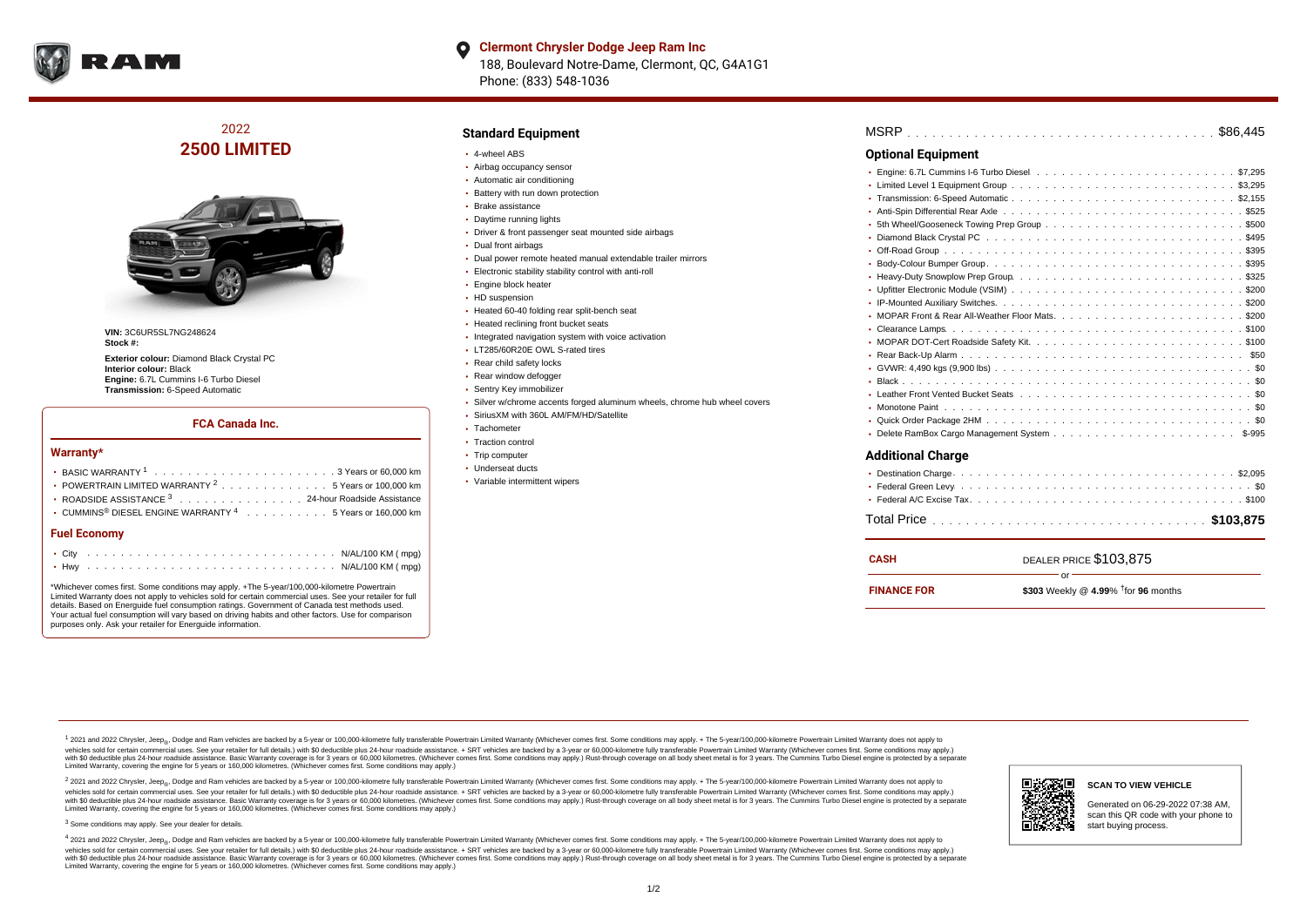

## **Clermont Chrysler Dodge Jeep Ram Inc** 188, Boulevard Notre-Dame, Clermont, QC, G4A1G1 Phone: (833) 548-1036

## 2022 **2500 LIMITED**



**VIN:** 3C6UR5SL7NG248624 **Stock #:**

**Exterior colour:** Diamond Black Crystal PC **Interior colour:** Black **Engine:** 6.7L Cummins I-6 Turbo Diesel **Transmission:** 6-Speed Automatic

### **FCA Canada Inc.**

#### **Warranty\***

| <b>Fuel Economy</b>                                                              |
|----------------------------------------------------------------------------------|
| • CUMMINS <sup>®</sup> DIESEL ENGINE WARRANTY <sup>4</sup> 5 Years or 160,000 km |
| ROADSIDE ASSISTANCE 3 24-hour Roadside Assistance                                |
| • POWERTRAIN LIMITED WARRANTY <sup>2</sup> 5 Years or 100,000 km                 |
|                                                                                  |

\*Whichever comes first. Some conditions may apply. +The 5-year/100,000-kilometre Powertrain Limited Warranty does not apply to vehicles sold for certain commercial uses. See your retailer for full details. Based on Energuide fuel consumption ratings. Government of Canada test methods used. Your actual fuel consumption will vary based on driving habits and other factors. Use for comparison purposes only. Ask your retailer for Energuide information.

### **Standard Equipment**

- 4-wheel ABS
- Airbag occupancy sensor
- Automatic air conditioning
- Battery with run down protection
- Brake assistance
- Daytime running lights
- Driver & front passenger seat mounted side airbags
- Dual front airbags
- Dual power remote heated manual extendable trailer mirrors
- Electronic stability stability control with anti-roll
- **Engine block heater**
- HD suspension
- Heated 60-40 folding rear split-bench seat
- Heated reclining front bucket seats
- Integrated navigation system with voice activation
- LT285/60R20E OWL S-rated tires
- Rear child safety locks
- Rear window defogger
- Sentry Key immobilizer
- Silver w/chrome accents forged aluminum wheels, chrome hub wheel covers
- SiriusXM with 360L AM/FM/HD/Satellite
- Tachometer
- Traction control
- Trip computer
- Underseat ducts
- Variable intermittent wipers

## . . . . . . . . . . . . . . . . . . . . . . . . . . . . . . . . . . . . . . . . . . . . . . MSRP \$86,445 . . . . . . . . . . . . . . . . . . . . . . . . . . . . . . . . . . . . . . . . . . . . . . Engine: 6.7L Cummins I-6 Turbo Diesel \$7,295 Limited Level 1 Equipment Group ................................ . . . . . . . . . . . . . . . . . . . . . . . . . . . . . . . . . . . . . . . . . . . . . . Transmission: 6-Speed Automatic \$2,155 Anti-Spin Differential Rear Axle ................................5525 5th Wheel/Gooseneck Towing Prep Group ..........................\$500 Diamond Black Crystal PC  $\ldots \ldots \ldots \ldots \ldots \ldots \ldots \ldots \ldots \ldots \ldots \ldots \ldots$ \$495 . . . . . . . . . . . . . . . . . . . . . . . . . . . . . . . . . . . . . . . . . . . . . . Off-Road Group \$395 . . . . . . . . . . . . . . . . . . . . . . . . . . . . . . . . . . . . . . . . . . . . . . Body-Colour Bumper Group \$395 Heavy-Duty Snowplow Prep Group  $\ldots \ldots \ldots \ldots \ldots \ldots \ldots \ldots \ldots \ldots \ldots \$ \$325 . . . . . . . . . . . . . . . . . . . . . . . . . . . . . . . . . . . . . . . . . . . . . . Upfitter Electronic Module (VSIM) \$200 . . . . . . . . . . . . . . . . . . . . . . . . . . . . . . . . . . . . . . . . . . . . . . IP-Mounted Auxiliary Switches \$200 . . . . . . . . . . . . . . . . . . . . . . . . . . . . . . . . . . . . . . . . . . . . . . MOPAR Front & Rear All-Weather Floor Mats \$200 . . . . . . . . . . . . . . . . . . . . . . . . . . . . . . . . . . . . . . . . . . . . . . Clearance Lamps \$100 . . . . . . . . . . . . . . . . . . . . . . . . . . . . . . . . . . . . . . . . . . . . . . MOPAR DOT-Cert Roadside Safety Kit \$100 . . . . . . . . . . . . . . . . . . . . . . . . . . . . . . . . . . . . . . . . . . . . . . Rear Back-Up Alarm \$50 . . . . . . . . . . . . . . . . . . . . . . . . . . . . . . . . . . . . . . . . . . . . . . GVWR: 4,490 kgs (9,900 lbs) \$0 . . . . . . . . . . . . . . . . . . . . . . . . . . . . . . . . . . . . . . . . . . . . . . Black \$0 . . . . . . . . . . . . . . . . . . . . . . . . . . . . . . . . . . . . . . . . . . . . . . Leather Front Vented Bucket Seats \$0 . . . . . . . . . . . . . . . . . . . . . . . . . . . . . . . . . . . . . . . . . . . . . . Monotone Paint \$0 . . . . . . . . . . . . . . . . . . . . . . . . . . . . . . . . . . . . . . . . . . . . . . Quick Order Package 2HM \$0 Delete RamBox Cargo Management System  $\ldots \ldots \ldots \ldots \ldots \ldots \ldots \ldots \ldots$  \$-995 **Optional Equipment Additional Charge**

| CASH               | DEALER PRICE \$103,875                                 |
|--------------------|--------------------------------------------------------|
| <b>FINANCE FOR</b> | $\cap$ r $-$<br>\$303 Weekly @ 4.99% $†$ for 96 months |

<sup>1</sup> 2021 and 2022 Chrysler, Jeep<sub>®</sub>, Dodge and Ram vehicles are backed by a 5-year or 100,000-kilometre fully transferable Powertrain Limited Warranty (Whichever comes first. Some conditions may apply. + The 5-year/100,000 vehicles sold for certain commercial uses. See your retailer for full details.) with \$0 deductible plus 24-hour roadside assistance. + SRT vehicles are backed by a 3-year or 60,000-kilometre fully transferable Powertrain L ventals and contract when the contract when the contract when the contract when the contract when the contract when the contract when the contract when the contract when the contract when the contract when the contract whe Limited Warranty, covering the engine for 5 years or 160,000 kilometres. (Whichever comes first. Some conditions may apply.)

2 2021 and 2022 Chrysler, Jeep<sub>®</sub>, Dodge and Ram vehicles are backed by a 5-year or 100,000-kilometre fully transferable Powertrain Limited Warranty (Whichever comes first. Some conditions may apply. + The 5-year/100,000-k vehicles sold for certain commercial uses. See your retailer for full details.) with SO deductible plus 24-hour roadside assistance. + SRT vehicles are backed by a 3-year or 60.000-kilometre fully transferable Powertrain L vando concerned a mandato control and the mandato concerned a mandato concerned a mandato concerned a mandato concerned a mandato concerned a mandato concerned as concerned as a subsequent of the concerned as a subsequent Limited Warranty, covering the engine for 5 years or 160,000 kilometres. (Whichever comes first. Some conditions may apply.)

<sup>3</sup> Some conditions may apply. See your dealer for details.

4 2021 and 2022 Chrysler, Jeep<sub>®</sub>, Dodge and Ram vehicles are backed by a 5-year or 100,000-kilometre fully transferable Powertrain Limited Warranty (Whichever comes first. Some conditions may apply. + The 5-year/100,000-k vehicles sold for certain commercial uses. See your retailer for full details.) with \$0 deductible plus 24-hour roadside assistance. + SRT vehicles are backed by a 3-year or 60,000-kilometre fully transferable Powertrain L with \$0 deductible plus 24-hour roadside assistance. Basic Warranty coverage is for 3 years or 60,000 kilometres. (Whichever comes first. Some conditions may apply.) Rust-through coverage on all body sheet metal is for 3 y Limited Warranty, covering the engine for 5 years or 160,000 kilometres. (Whichever comes first. Some conditions may apply.)



scan this QR code with your phone to start buying process.